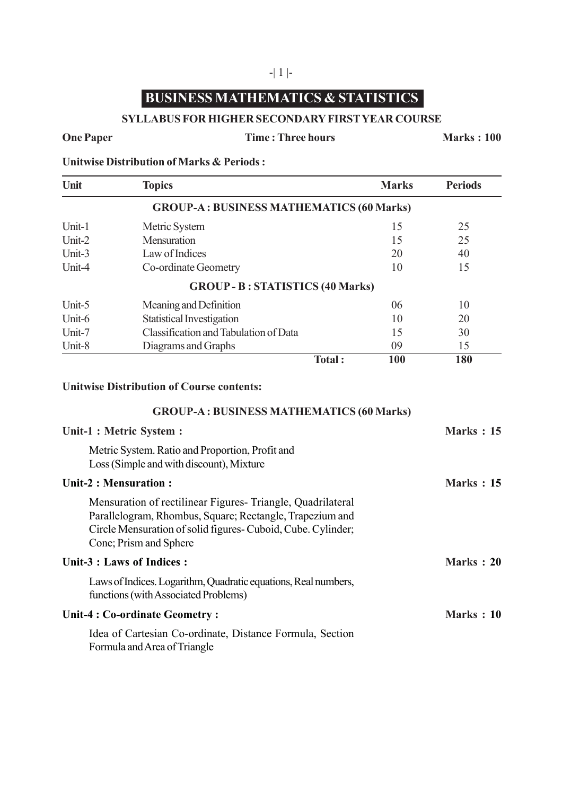# **BUSINESS MATHEMATICS & STATISTICS**

#### **SYLLABUS FOR HIGHER SECONDARY FIRST YEAR COURSE**

### **One Paper Time : Three hours Marks : 100**

**Unitwise Distribution of Marks & Periods :**

| Unit   | <b>Topics</b>                                   |        | <b>Marks</b> | <b>Periods</b> |
|--------|-------------------------------------------------|--------|--------------|----------------|
|        | <b>GROUP-A: BUSINESS MATHEMATICS (60 Marks)</b> |        |              |                |
| Unit-1 | Metric System                                   |        | 15           | 25             |
| Unit-2 | Mensuration                                     |        | 15           | 25             |
| Unit-3 | Law of Indices                                  |        | 20           | 40             |
| Unit-4 | Co-ordinate Geometry                            |        | 10           | 15             |
|        | <b>GROUP - B: STATISTICS (40 Marks)</b>         |        |              |                |
| Unit-5 | Meaning and Definition                          |        | 06           | 10             |
| Unit-6 | <b>Statistical Investigation</b>                |        | 10           | 20             |
| Unit-7 | Classification and Tabulation of Data           |        | 15           | 30             |
| Unit-8 | Diagrams and Graphs                             |        | 09           | 15             |
|        |                                                 | Total: | 100          | 180            |

#### **Unitwise Distribution of Course contents:**

#### **GROUP-A : BUSINESS MATHEMATICS (60 Marks)**

| Unit-1 : Metric System :   |                                                                                                                                                                                                                  | Marks $: 15$      |
|----------------------------|------------------------------------------------------------------------------------------------------------------------------------------------------------------------------------------------------------------|-------------------|
|                            | Metric System. Ratio and Proportion, Profit and<br>Loss (Simple and with discount), Mixture                                                                                                                      |                   |
|                            | Unit-2 : Mensuration :                                                                                                                                                                                           | <b>Marks</b> : 15 |
|                            | Mensuration of rectilinear Figures-Triangle, Quadrilateral<br>Parallelogram, Rhombus, Square; Rectangle, Trapezium and<br>Circle Mensuration of solid figures- Cuboid, Cube. Cylinder;<br>Cone; Prism and Sphere |                   |
| Unit-3 : Laws of Indices : |                                                                                                                                                                                                                  | <b>Marks</b> : 20 |
|                            | Laws of Indices. Logarithm, Quadratic equations, Real numbers,<br>functions (with Associated Problems)                                                                                                           |                   |
|                            | Unit-4 : Co-ordinate Geometry :                                                                                                                                                                                  | Marks: 10         |
|                            | Idea of Cartesian Co-ordinate, Distance Formula, Section<br>Formula and Area of Triangle                                                                                                                         |                   |

#### -| 1 |-